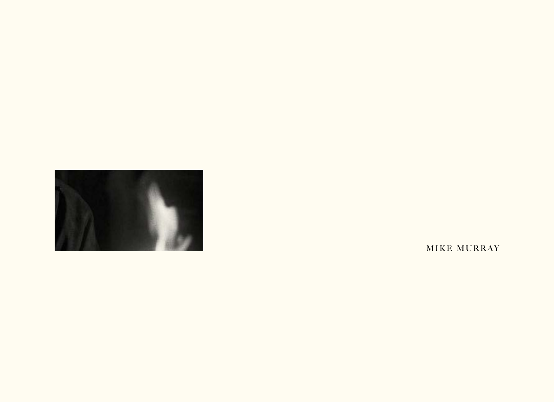

MIKE MURRAY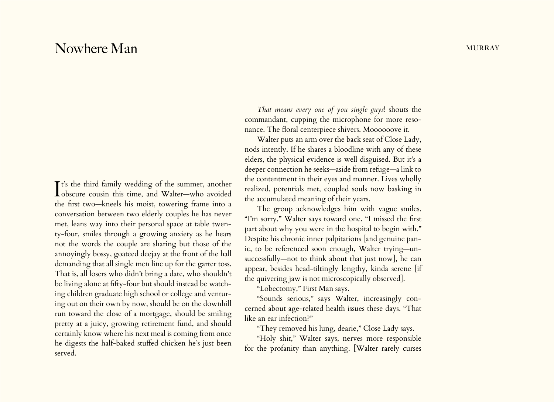## Nowhere Man murray and the Manuscript of the Murray murray and the Murray murray murray murray

It's the third family wedding of the summer, another<br>obscure cousin this time, and Walter—who avoided Tt's the third family wedding of the summer, another the first two—kneels his moist, towering frame into a conversation between two elderly couples he has never met, leans way into their personal space at table twenty-four, smiles through a growing anxiety as he hears not the words the couple are sharing but those of the annoyingly bossy, goateed deejay at the front of the hall demanding that all single men line up for the garter toss. That is, all losers who didn't bring a date, who shouldn't be living alone at fifty-four but should instead be watching children graduate high school or college and venturing out on their own by now, should be on the downhill run toward the close of a mortgage, should be smiling pretty at a juicy, growing retirement fund, and should certainly know where his next meal is coming from once he digests the half-baked stuffed chicken he's just been served.

*That means every one of you single guys*! shouts the commandant, cupping the microphone for more resonance. The floral centerpiece shivers. Moooooove it.

Walter puts an arm over the back seat of Close Lady, nods intently. If he shares a bloodline with any of these elders, the physical evidence is well disguised. But it's a deeper connection he seeks—aside from refuge—a link to the contentment in their eyes and manner. Lives wholly realized, potentials met, coupled souls now basking in the accumulated meaning of their years.

The group acknowledges him with vague smiles. "I'm sorry," Walter says toward one. "I missed the first part about why you were in the hospital to begin with." Despite his chronic inner palpitations [and genuine panic, to be referenced soon enough, Walter trying—unsuccessfully—not to think about that just now], he can appear, besides head-tiltingly lengthy, kinda serene [if the quivering jaw is not microscopically observed].

"Lobectomy," First Man says.

"Sounds serious," says Walter, increasingly concerned about age-related health issues these days. "That like an ear infection?"

"They removed his lung, dearie," Close Lady says.

"Holy shit," Walter says, nerves more responsible for the profanity than anything. [Walter rarely curses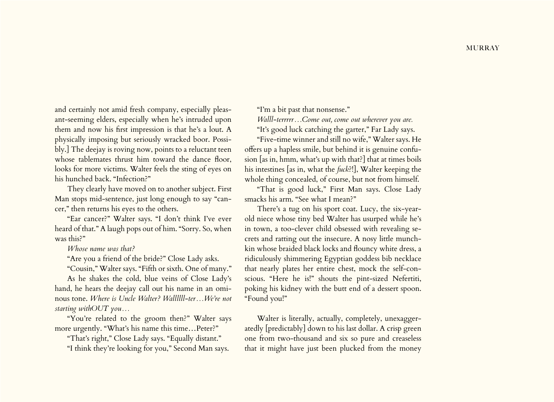and certainly not amid fresh company, especially pleasant-seeming elders, especially when he's intruded upon them and now his first impression is that he's a lout. A physically imposing but seriously wracked boor. Possibly.] The deejay is roving now, points to a reluctant teen whose tablemates thrust him toward the dance floor, looks for more victims. Walter feels the sting of eyes on his hunched back. "Infection?"

They clearly have moved on to another subject. First Man stops mid-sentence, just long enough to say "cancer," then returns his eyes to the others.

"Ear cancer?" Walter says. "I don't think I've ever heard of that." A laugh pops out of him. "Sorry. So, when was this?"

*Whose name was that?*

"Are you a friend of the bride?" Close Lady asks.

"Cousin," Walter says. "Fifth or sixth. One of many."

As he shakes the cold, blue veins of Close Lady's hand, he hears the deejay call out his name in an ominous tone. *Where is Uncle Walter? Wallllll-ter…We're not starting withOUT you…*

"You're related to the groom then?" Walter says more urgently. "What's his name this time…Peter?"

"That's right," Close Lady says. "Equally distant."

"I think they're looking for you," Second Man says.

"I'm a bit past that nonsense."

*Walll-terrrrr…Come out, come out wherever you are.*

"It's good luck catching the garter," Far Lady says.

"Five-time winner and still no wife," Walter says. He offers up a hapless smile, but behind it is genuine confusion [as in, hmm, what's up with that?] that at times boils his intestines [as in, what the *fuck*?!], Walter keeping the whole thing concealed, of course, but not from himself.

"That is good luck," First Man says. Close Lady smacks his arm. "See what I mean?"

There's a tug on his sport coat. Lucy, the six-yearold niece whose tiny bed Walter has usurped while he's in town, a too-clever child obsessed with revealing secrets and ratting out the insecure. A nosy little munchkin whose braided black locks and flouncy white dress, a ridiculously shimmering Egyptian goddess bib necklace that nearly plates her entire chest, mock the self-conscious. "Here he is!" shouts the pint-sized Nefertiti, poking his kidney with the butt end of a dessert spoon. "Found you!"

Walter is literally, actually, completely, unexaggeratedly [predictably] down to his last dollar. A crisp green one from two-thousand and six so pure and creaseless that it might have just been plucked from the money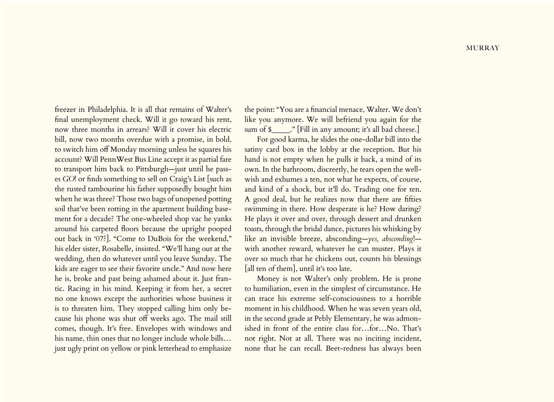freezer in Philadelphia. It is all that remains of Walter's final unemployment check. Will it go toward his rent, now three months in arrears? Will it cover his electric bill, now two months overdue with a promise, in bold, to switch him off Monday morning unless he squares his account? Will PennWest Bus Line accept it as partial fare to transport him back to Pittsburgh—just until he passes *GO*! or finds something to sell on Craig's List [such as the rusted tambourine his father supposedly bought him when he was three? Those two bags of unopened potting soil that've been rotting in the apartment building basement for a decade? The one-wheeled shop vac he yanks around his carpeted floors because the upright pooped out back in '07?]. "Come to DuBois for the weekend," his elder sister, Rosabelle, insisted. "We'll hang out at the wedding, then do whatever until you leave Sunday. The kids are eager to see their favorite uncle." And now here he is, broke and past being ashamed about it. Just frantic. Racing in his mind. Keeping it from her, a secret no one knows except the authorities whose business it is to threaten him. They stopped calling him only because his phone was shut off weeks ago. The mail still comes, though. It's free. Envelopes with windows and his name, thin ones that no longer include whole bills… just ugly print on yellow or pink letterhead to emphasize

the point: "You are a financial menace, Walter. We don't like you anymore. We will befriend you again for the sum of \$\_\_\_\_\_." [Fill in any amount; it's all bad cheese.]

For good karma, he slides the one-dollar bill into the satiny card box in the lobby at the reception. But his hand is not empty when he pulls it back, a mind of its own. In the bathroom, discreetly, he tears open the wellwish and exhumes a ten, not what he expects, of course, and kind of a shock, but it'll do. Trading one for ten. A good deal, but he realizes now that there are fifties swimming in there. How desperate is he? How daring? He plays it over and over, through dessert and drunken toasts, through the bridal dance, pictures his whisking by like an invisible breeze, absconding—*yes, absconding*! with another reward, whatever he can muster. Plays it over so much that he chickens out, counts his blessings [all ten of them], until it's too late.

Money is not Walter's only problem. He is prone to humiliation, even in the simplest of circumstance. He can trace his extreme self-consciousness to a horrible moment in his childhood. When he was seven years old, in the second grade at Pebly Elementary, he was admonished in front of the entire class for…for…No. That's not right. Not at all. There was no inciting incident, none that he can recall. Beet-redness has always been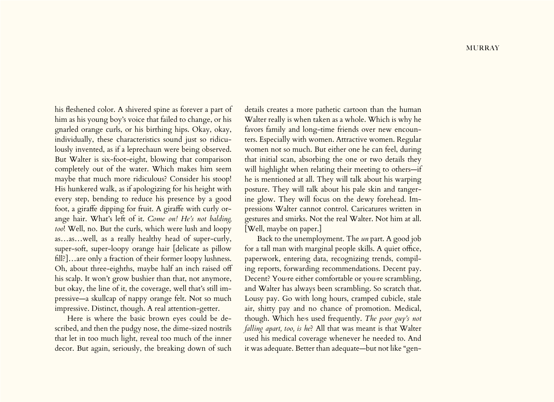his fleshened color. A shivered spine as forever a part of him as his young boy's voice that failed to change, or his gnarled orange curls, or his birthing hips. Okay, okay, individually, these characteristics sound just so ridiculously invented, as if a leprechaun were being observed. But Walter is six-foot-eight, blowing that comparison completely out of the water. Which makes him seem maybe that much more ridiculous? Consider his stoop! His hunkered walk, as if apologizing for his height with every step, bending to reduce his presence by a good foot, a giraffe dipping for fruit. A giraffe with curly orange hair. What's left of it. *Come on! He's not balding, too*! Well, no. But the curls, which were lush and loopy as…as…well, as a really healthy head of super-curly, super-soft, super-loopy orange hair [delicate as pillow fill?]…are only a fraction of their former loopy lushness. Oh, about three-eighths, maybe half an inch raised off his scalp. It won't grow bushier than that, not anymore, but okay, the line of it, the coverage, well that's still impressive—a skullcap of nappy orange felt. Not so much impressive. Distinct, though. A real attention-getter.

Here is where the basic brown eyes could be described, and then the pudgy nose, the dime-sized nostrils that let in too much light, reveal too much of the inner decor. But again, seriously, the breaking down of such details creates a more pathetic cartoon than the human Walter really is when taken as a whole. Which is why he favors family and long-time friends over new encounters. Especially with women. Attractive women. Regular women not so much. But either one he can feel, during that initial scan, absorbing the one or two details they will highlight when relating their meeting to others-if he is mentioned at all. They will talk about his warping posture. They will talk about his pale skin and tangerine glow. They will focus on the dewy forehead. Impressions Walter cannot control. Caricatures written in gestures and smirks. Not the real Walter. Not him at all. [Well, maybe on paper.]

Back to the unemployment. The *un* part. A good job for a tall man with marginal people skills. A quiet office, paperwork, entering data, recognizing trends, compiling reports, forwarding recommendations. Decent pay. Decent? You›re either comfortable or you›re scrambling, and Walter has always been scrambling. So scratch that. Lousy pay. Go with long hours, cramped cubicle, stale air, shitty pay and no chance of promotion. Medical, though. Which he›s used frequently. *The poor guy's not falling apart, too, is he*? All that was meant is that Walter used his medical coverage whenever he needed to. And it was adequate. Better than adequate—but not like "gen-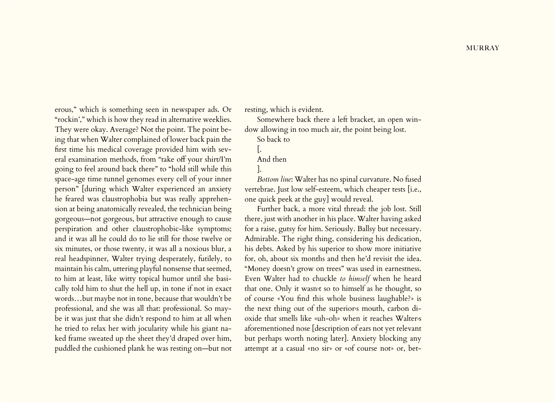erous," which is something seen in newspaper ads. Or "rockin'," which is how they read in alternative weeklies. They were okay. Average? Not the point. The point being that when Walter complained of lower back pain the first time his medical coverage provided him with several examination methods, from "take off your shirt/I'm going to feel around back there" to "hold still while this space-age time tunnel genomes every cell of your inner person" [during which Walter experienced an anxiety he feared was claustrophobia but was really apprehension at being anatomically revealed, the technician being gorgeous—not gorgeous, but attractive enough to cause perspiration and other claustrophobic-like symptoms; and it was all he could do to lie still for those twelve or six minutes, or those twenty, it was all a noxious blur, a real headspinner, Walter trying desperately, futilely, to maintain his calm, uttering playful nonsense that seemed, to him at least, like witty topical humor until she basically told him to shut the hell up, in tone if not in exact words…but maybe not in tone, because that wouldn't be professional, and she was all that: professional. So maybe it was just that she didn't respond to him at all when he tried to relax her with jocularity while his giant naked frame sweated up the sheet they'd draped over him, puddled the cushioned plank he was resting on—but not

resting, which is evident.

Somewhere back there a left bracket, an open window allowing in too much air, the point being lost.

So back to

And then

*Bottom line*: Walter has no spinal curvature. No fused vertebrae. Just low self-esteem, which cheaper tests [i.e., one quick peek at the guy] would reveal.

Further back, a more vital thread: the job lost. Still there, just with another in his place. Walter having asked for a raise, gutsy for him. Seriously. Ballsy but necessary. Admirable. The right thing, considering his dedication, his debts. Asked by his superior to show more initiative for, oh, about six months and then he'd revisit the idea. "Money doesn't grow on trees" was used in earnestness. Even Walter had to chuckle *to himself* when he heard that one. Only it wasn›t so to himself as he thought, so of course «You find this whole business laughable?» is the next thing out of the superiors mouth, carbon dioxide that smells like «uh-oh» when it reaches Walter›s aforementioned nose [description of ears not yet relevant but perhaps worth noting later]. Anxiety blocking any attempt at a casual «no sir» or «of course not» or, bet-

 $\vert$ .

<sup>].</sup>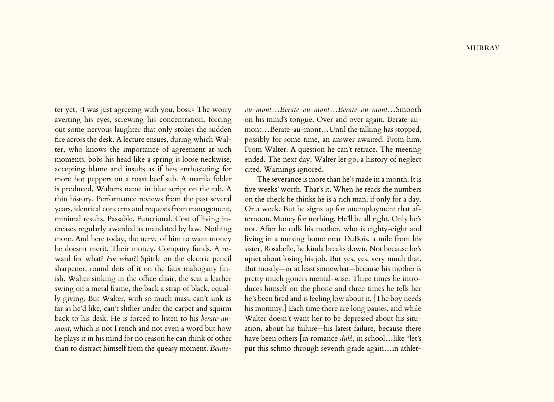ter yet, «I was just agreeing with you, boss.» The worry averting his eyes, screwing his concentration, forcing out some nervous laughter that only stokes the sudden fire across the desk. A lecture ensues, during which Walter, who knows the importance of agreement at such moments, bobs his head like a spring is loose neckwise, accepting blame and insults as if he›s enthusiating for more hot peppers on a roast beef sub. A manila folder is produced, Walter's name in blue script on the tab. A thin history. Performance reviews from the past several years, identical concerns and requests from management, minimal results. Passable. Functional. Cost of living increases regularly awarded as mandated by law. Nothing more. And here today, the nerve of him to want money he doesn›t merit. Their money. Company funds. A reward for what? *For what*?! Spittle on the electric pencil sharpener, round dots of it on the faux mahogany finish. Walter sinking in the office chair, the seat a leather swing on a metal frame, the back a strap of black, equally giving. But Walter, with so much mass, can't sink as far as he'd like, can't slither under the carpet and squirm back to his desk. He is forced to listen to his *berate-aumont*, which is not French and not even a word but how he plays it in his mind for no reason he can think of other than to distract himself from the queasy moment. *Berate-*

*au-mont…Berate-au-mont…Berate-au-mont*…Smooth on his mind's tongue. Over and over again. Berate-aumont…Berate-au-mont…Until the talking has stopped, possibly for some time, an answer awaited. From him. From Walter. A question he can't retrace. The meeting ended. The next day, Walter let go, a history of neglect cited. Warnings ignored.

The severance is more than he's made in a month. It is five weeks' worth. That's it. When he reads the numbers on the check he thinks he is a rich man, if only for a day. Or a week. But he signs up for unemployment that afternoon. Money for nothing. He'll be all right. Only he's not. After he calls his mother, who is eighty-eight and living in a nursing home near DuBois, a mile from his sister, Rosabelle, he kinda breaks down. Not because he's upset about losing his job. But yes, yes, very much that. But mostly—or at least somewhat—because his mother is pretty much goners mental-wise. Three times he introduces himself on the phone and three times he tells her he's been fired and is feeling low about it. [The boy needs his mommy.] Each time there are long pauses, and while Walter doesn't want her to be depressed about his situation, about his failure—his latest failure, because there have been others [in romance *duh*!, in school…like "let's put this schmo through seventh grade again…in athlet-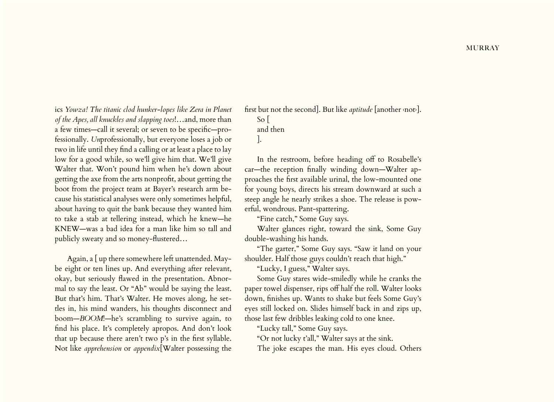ics *Yowza! The titanic clod hunker-lopes like Zera in Planet of the Apes, all knuckles and slapping toes*!…and, more than a few times—call it several; or seven to be specific—professionally. *Un*professionally, but everyone loses a job or two in life until they find a calling or at least a place to lay low for a good while, so we'll give him that. We'll give Walter that. Won't pound him when he's down about getting the axe from the arts nonprofit, about getting the boot from the project team at Bayer's research arm because his statistical analyses were only sometimes helpful, about having to quit the bank because they wanted him to take a stab at tellering instead, which he knew—he KNEW—was a bad idea for a man like him so tall and publicly sweaty and so money-flustered…

Again, a [ up there somewhere left unattended. Maybe eight or ten lines up. And everything after relevant, okay, but seriously flawed in the presentation. Abnormal to say the least. Or "Ab" would be saying the least. But that's him. That's Walter. He moves along, he settles in, his mind wanders, his thoughts disconnect and boom—*BOOM*!—he's scrambling to survive again, to find his place. It's completely apropos. And don't look that up because there aren't two p's in the first syllable. Not like *apprehension* or *appendix*[Walter possessing the

first but not the second]. But like *aptitude* [another ‹not›]. So [ and then

].

In the restroom, before heading off to Rosabelle's car—the reception finally winding down—Walter approaches the first available urinal, the low-mounted one for young boys, directs his stream downward at such a steep angle he nearly strikes a shoe. The release is powerful, wondrous. Pant-spattering.

"Fine catch," Some Guy says.

Walter glances right, toward the sink, Some Guy double-washing his hands.

"The garter," Some Guy says. "Saw it land on your shoulder. Half those guys couldn't reach that high."

"Lucky, I guess," Walter says.

Some Guy stares wide-smiledly while he cranks the paper towel dispenser, rips off half the roll. Walter looks down, finishes up. Wants to shake but feels Some Guy's eyes still locked on. Slides himself back in and zips up, those last few dribbles leaking cold to one knee.

"Lucky tall," Some Guy says.

"Or not lucky t'all," Walter says at the sink. The joke escapes the man. His eyes cloud. Others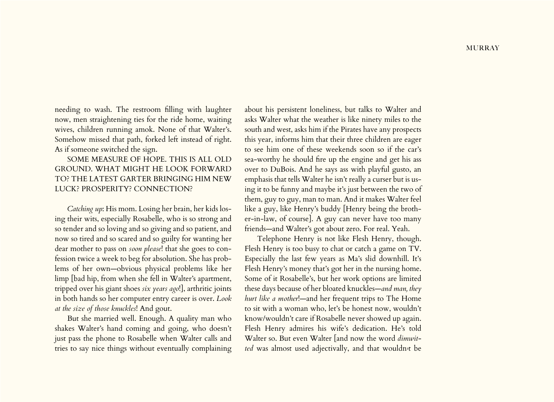needing to wash. The restroom filling with laughter now, men straightening ties for the ride home, waiting wives, children running amok. None of that Walter's. Somehow missed that path, forked left instead of right. As if someone switched the sign.

## SOME MEASURE OF HOPE. THIS IS ALL OLD GROUND. WHAT MIGHT HE LOOK FORWARD TO? THE LATEST GARTER BRINGING HIM NEW LUCK? PROSPERITY? CONNECTION?

*Catching up*: His mom. Losing her brain, her kids losing their wits, especially Rosabelle, who is so strong and so tender and so loving and so giving and so patient, and now so tired and so scared and so guilty for wanting her dear mother to pass on *soon please*! that she goes to confession twice a week to beg for absolution. She has problems of her own—obvious physical problems like her limp [bad hip, from when she fell in Walter's apartment, tripped over his giant shoes *six years ago*!], arthritic joints in both hands so her computer entry career is over. *Look at the size of those knuckles*! And gout.

But she married well. Enough. A quality man who shakes Walter's hand coming and going, who doesn't just pass the phone to Rosabelle when Walter calls and tries to say nice things without eventually complaining

about his persistent loneliness, but talks to Walter and asks Walter what the weather is like ninety miles to the south and west, asks him if the Pirates have any prospects this year, informs him that their three children are eager to see him one of these weekends soon so if the car's sea-worthy he should fire up the engine and get his ass over to DuBois. And he says ass with playful gusto, an emphasis that tells Walter he isn't really a curser but is using it to be funny and maybe it's just between the two of them, guy to guy, man to man. And it makes Walter feel like a guy, like Henry's buddy [Henry being the brother-in-law, of course]. A guy can never have too many friends—and Walter's got about zero. For real. Yeah.

Telephone Henry is not like Flesh Henry, though. Flesh Henry is too busy to chat or catch a game on TV. Especially the last few years as Ma's slid downhill. It's Flesh Henry's money that's got her in the nursing home. Some of it Rosabelle's, but her work options are limited these days because of her bloated knuckles—*and man, they hurt like a mother*!—and her frequent trips to The Home to sit with a woman who, let's be honest now, wouldn't know/wouldn't care if Rosabelle never showed up again. Flesh Henry admires his wife's dedication. He's told Walter so. But even Walter [and now the word *dimwitted* was almost used adjectivally, and that wouldn›t be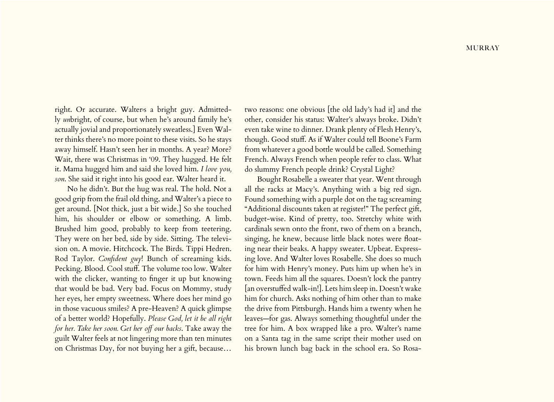right. Or accurate. Walter's a bright guy. Admittedly *un*bright, of course, but when he's around family he's actually jovial and proportionately sweatless.] Even Walter thinks there's no more point to these visits. So he stays away himself. Hasn't seen her in months. A year? More? Wait, there was Christmas in '09. They hugged. He felt it. Mama hugged him and said she loved him. *I love you, son*. She said it right into his good ear. Walter heard it.

No he didn't. But the hug was real. The hold. Not a good grip from the frail old thing, and Walter's a piece to get around. [Not thick, just a bit wide.] So she touched him, his shoulder or elbow or something. A limb. Brushed him good, probably to keep from teetering. They were on her bed, side by side. Sitting. The television on. A movie. Hitchcock. The Birds. Tippi Hedren. Rod Taylor. *Confident guy*! Bunch of screaming kids. Pecking. Blood. Cool stuff. The volume too low. Walter with the clicker, wanting to finger it up but knowing that would be bad. Very bad. Focus on Mommy, study her eyes, her empty sweetness. Where does her mind go in those vacuous smiles? A pre-Heaven? A quick glimpse of a better world? Hopefully. *Please God, let it be all right for her. Take her soon. Get her off our backs*. Take away the guilt Walter feels at not lingering more than ten minutes on Christmas Day, for not buying her a gift, because…

two reasons: one obvious [the old lady's had it] and the other, consider his status: Walter's always broke. Didn't even take wine to dinner. Drank plenty of Flesh Henry's, though. Good stuff. As if Walter could tell Boone's Farm from whatever a good bottle would be called. Something French. Always French when people refer to class. What do slummy French people drink? Crystal Light?

Bought Rosabelle a sweater that year. Went through all the racks at Macy's. Anything with a big red sign. Found something with a purple dot on the tag screaming "Additional discounts taken at register!" The perfect gift, budget-wise. Kind of pretty, too. Stretchy white with cardinals sewn onto the front, two of them on a branch, singing, he knew, because little black notes were floating near their beaks. A happy sweater. Upbeat. Expressing love. And Walter loves Rosabelle. She does so much for him with Henry's money. Puts him up when he's in town. Feeds him all the squares. Doesn't lock the pantry [an overstuffed walk-in!]. Lets him sleep in. Doesn't wake him for church. Asks nothing of him other than to make the drive from Pittsburgh. Hands him a twenty when he leaves—for gas. Always something thoughtful under the tree for him. A box wrapped like a pro. Walter's name on a Santa tag in the same script their mother used on his brown lunch bag back in the school era. So Rosa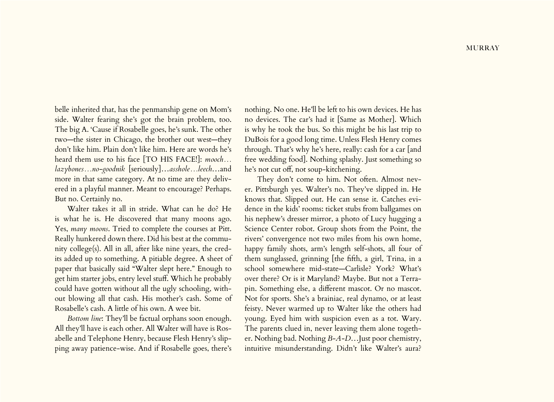belle inherited that, has the penmanship gene on Mom's side. Walter fearing she's got the brain problem, too. The big A. 'Cause if Rosabelle goes, he's sunk. The other two—the sister in Chicago, the brother out west—they don't like him. Plain don't like him. Here are words he's heard them use to his face [TO HIS FACE!]: *mooch… lazybones…no-goodnik* [seriously]…*asshole…leech*…and more in that same category. At no time are they delivered in a playful manner. Meant to encourage? Perhaps. But no. Certainly no.

Walter takes it all in stride. What can he do? He is what he is. He discovered that many moons ago. Yes, *many moons*. Tried to complete the courses at Pitt. Really hunkered down there. Did his best at the community college(s). All in all, after like nine years, the credits added up to something. A pitiable degree. A sheet of paper that basically said "Walter slept here." Enough to get him starter jobs, entry level stuff. Which he probably could have gotten without all the ugly schooling, without blowing all that cash. His mother's cash. Some of Rosabelle's cash. A little of his own. A wee bit.

*Bottom line*: They'll be factual orphans soon enough. All they'll have is each other. All Walter will have is Rosabelle and Telephone Henry, because Flesh Henry's slipping away patience-wise. And if Rosabelle goes, there's nothing. No one. He'll be left to his own devices. He has no devices. The car's had it [Same as Mother]. Which is why he took the bus. So this might be his last trip to DuBois for a good long time. Unless Flesh Henry comes through. That's why he's here, really: cash for a car [and free wedding food]. Nothing splashy. Just something so he's not cut off, not soup-kitchening.

They don't come to him. Not often. Almost never. Pittsburgh yes. Walter's no. They've slipped in. He knows that. Slipped out. He can sense it. Catches evidence in the kids' rooms: ticket stubs from ballgames on his nephew's dresser mirror, a photo of Lucy hugging a Science Center robot. Group shots from the Point, the rivers' convergence not two miles from his own home, happy family shots, arm's length self-shots, all four of them sunglassed, grinning [the fifth, a girl, Trina, in a school somewhere mid-state—Carlisle? York? What's over there? Or is it Maryland? Maybe. But not a Terrapin. Something else, a different mascot. Or no mascot. Not for sports. She's a brainiac, real dynamo, or at least feisty. Never warmed up to Walter like the others had young. Eyed him with suspicion even as a tot. Wary. The parents clued in, never leaving them alone together. Nothing bad. Nothing *B-A-D*…Just poor chemistry, intuitive misunderstanding. Didn't like Walter's aura?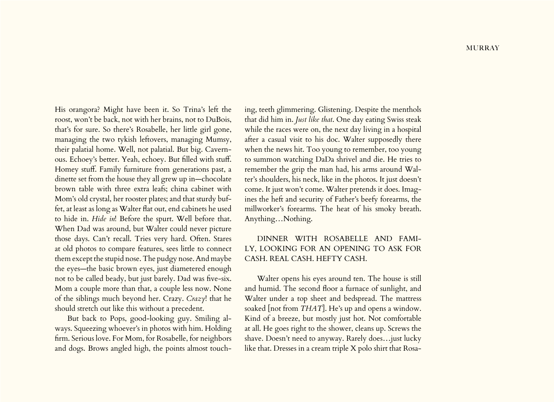His orangora? Might have been it. So Trina's left the roost, won't be back, not with her brains, not to DuBois, that's for sure. So there's Rosabelle, her little girl gone, managing the two tykish leftovers, managing Mumsy, their palatial home. Well, not palatial. But big. Cavernous. Echoey's better. Yeah, echoey. But filled with stuff. Homey stuff. Family furniture from generations past, a dinette set from the house they all grew up in—chocolate brown table with three extra leafs; china cabinet with Mom's old crystal, her rooster plates; and that sturdy buffet, at least as long as Walter flat out, end cabinets he used to hide in. *Hide in*! Before the spurt. Well before that. When Dad was around, but Walter could never picture those days. Can't recall. Tries very hard. Often. Stares at old photos to compare features, sees little to connect them except the stupid nose. The pudgy nose. And maybe the eyes—the basic brown eyes, just diametered enough not to be called beady, but just barely. Dad was five-six. Mom a couple more than that, a couple less now. None of the siblings much beyond her. Crazy. *Crazy*! that he should stretch out like this without a precedent.

But back to Pops, good-looking guy. Smiling always. Squeezing whoever's in photos with him. Holding firm. Serious love. For Mom, for Rosabelle, for neighbors and dogs. Brows angled high, the points almost touching, teeth glimmering. Glistening. Despite the menthols that did him in. *Just like that*. One day eating Swiss steak while the races were on, the next day living in a hospital after a casual visit to his doc. Walter supposedly there when the news hit. Too young to remember, too young to summon watching DaDa shrivel and die. He tries to remember the grip the man had, his arms around Walter's shoulders, his neck, like in the photos. It just doesn't come. It just won't come. Walter pretends it does. Imagines the heft and security of Father's beefy forearms, the millworker's forearms. The heat of his smoky breath. Anything…Nothing.

## DINNER WITH ROSABELLE AND FAMI-LY, LOOKING FOR AN OPENING TO ASK FOR CASH. REAL CASH. HEFTY CASH.

Walter opens his eyes around ten. The house is still and humid. The second floor a furnace of sunlight, and Walter under a top sheet and bedspread. The mattress soaked [not from *THAT*]. He's up and opens a window. Kind of a breeze, but mostly just hot. Not comfortable at all. He goes right to the shower, cleans up. Screws the shave. Doesn't need to anyway. Rarely does…just lucky like that. Dresses in a cream triple X polo shirt that Rosa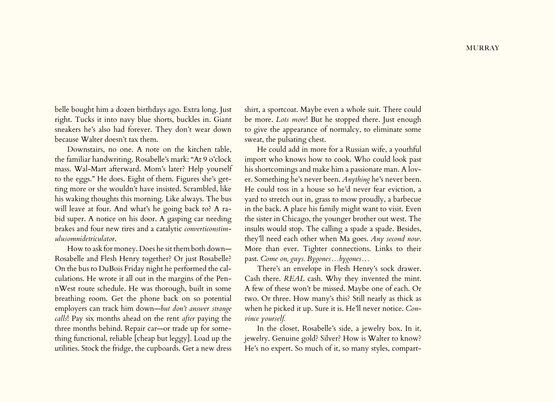belle bought him a dozen birthdays ago. Extra long. Just right. Tucks it into navy blue shorts, buckles in. Giant sneakers he's also had forever. They don't wear down because Walter doesn't tax them.

Downstairs, no one. A note on the kitchen table, the familiar handwriting. Rosabelle's mark: "At 9 o'clock mass. Wal-Mart afterward. Mom's later? Help yourself to the eggs." He does. Eight of them. Figures she's getting more or she wouldn't have insisted. Scrambled, like his waking thoughts this morning. Like always. The bus will leave at four. And what's he going back to? A rabid super. A notice on his door. A gasping car needing brakes and four new tires and a catalytic *converticonstimulusomnidetriculator*.

How to ask for money. Does he sit them both down— Rosabelle and Flesh Henry together? Or just Rosabelle? On the bus to DuBois Friday night he performed the calculations. He wrote it all out in the margins of the PennWest route schedule. He was thorough, built in some breathing room. Get the phone back on so potential employers can track him down—*but don't answer strange calls*! Pay six months ahead on the rent *after* paying the three months behind. Repair car—or trade up for something functional, reliable [cheap but leggy]. Load up the utilities. Stock the fridge, the cupboards. Get a new dress shirt, a sportcoat. Maybe even a whole suit. There could be more. *Lots more*! But he stopped there. Just enough to give the appearance of normalcy, to eliminate some sweat, the pulsating chest.

He could add in more for a Russian wife, a youthful import who knows how to cook. Who could look past his shortcomings and make him a passionate man. A lover. Something he's never been. *Anything* he's never been. He could toss in a house so he'd never fear eviction, a yard to stretch out in, grass to mow proudly, a barbecue in the back. A place his family might want to visit. Even the sister in Chicago, the younger brother out west. The insults would stop. The calling a spade a spade. Besides, they'll need each other when Ma goes. *Any second now*. More than ever. Tighter connections. Links to their past. *Come on, guys. Bygones…bygones…*

There's an envelope in Flesh Henry's sock drawer. Cash there. *REAL* cash. Why they invented the mint. A few of these won't be missed. Maybe one of each. Or two. Or three. How many's this? Still nearly as thick as when he picked it up. Sure it is. He'll never notice. *Convince yourself.*

In the closet, Rosabelle's side, a jewelry box. In it, jewelry. Genuine gold? Silver? How is Walter to know? He's no expert. So much of it, so many styles, compart-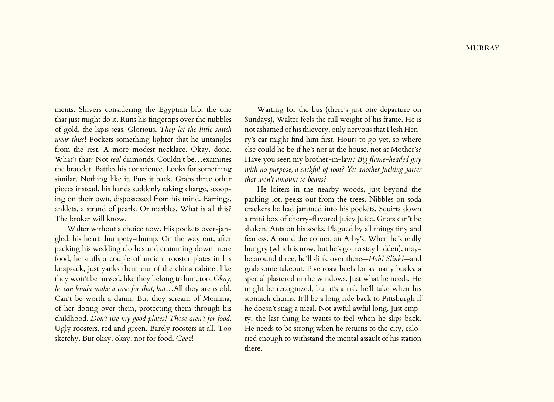ments. Shivers considering the Egyptian bib, the one that just might do it. Runs his fingertips over the nubbles of gold, the lapis seas. Glorious. *They let the little snitch wear this*?! Pockets something lighter that he untangles from the rest. A more modest necklace. Okay, done. What's that? Not *real* diamonds. Couldn't be…examines the bracelet. Battles his conscience. Looks for something similar. Nothing like it. Puts it back. Grabs three other pieces instead, his hands suddenly taking charge, scooping on their own, dispossessed from his mind. Earrings, anklets, a strand of pearls. Or marbles. What is all this? The broker will know.

Walter without a choice now. His pockets over-jangled, his heart thumpety-thump. On the way out, after packing his wedding clothes and cramming down more food, he stuffs a couple of ancient rooster plates in his knapsack, just yanks them out of the china cabinet like they won't be missed, like they belong to him, too. *Okay, he can kinda make a case for that, but*…All they are is old. Can't be worth a damn. But they scream of Momma, of her doting over them, protecting them through his childhood. *Don't use my good plates! Those aren't for food*. Ugly roosters, red and green. Barely roosters at all. Too sketchy. But okay, okay, not for food. *Geez*!

Waiting for the bus (there's just one departure on Sundays), Walter feels the full weight of his frame. He is not ashamed of his thievery, only nervous that Flesh Henry's car might find him first. Hours to go yet, so where else could he be if he's not at the house, not at Mother's? Have you seen my brother-in-law? *Big flame-headed guy with no purpose, a sackful of loot? Yet another fucking garter that won't amount to beans?*

He loiters in the nearby woods, just beyond the parking lot, peeks out from the trees. Nibbles on soda crackers he had jammed into his pockets. Squirts down a mini box of cherry-flavored Juicy Juice. Gnats can't be shaken. Ants on his socks. Plagued by all things tiny and fearless. Around the corner, an Arby's. When he's really hungry (which is now, but he's got to stay hidden), maybe around three, he'll slink over there—*Hah! Slink!*—and grab some takeout. Five roast beefs for as many bucks, a special plastered in the windows. Just what he needs. He might be recognized, but it's a risk he'll take when his stomach churns. It'll be a long ride back to Pittsburgh if he doesn't snag a meal. Not awful awful long. Just empty, the last thing he wants to feel when he slips back. He needs to be strong when he returns to the city, caloried enough to withstand the mental assault of his station there.